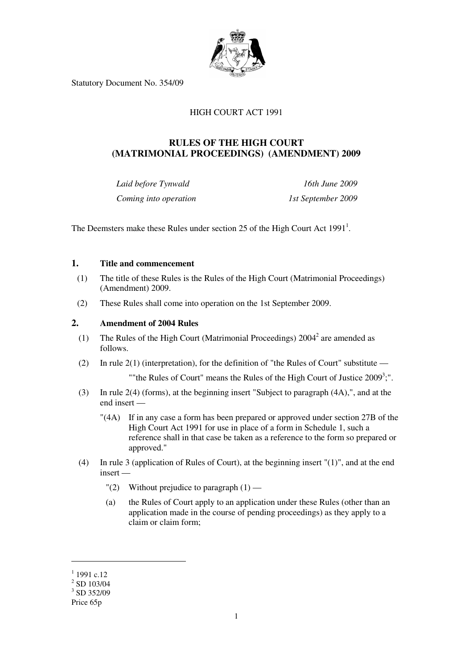

Statutory Document No. 354/09

# HIGH COURT ACT 1991

# **RULES OF THE HIGH COURT (MATRIMONIAL PROCEEDINGS) (AMENDMENT) 2009**

*Laid before Tynwald 16th June 2009 Coming into operation* 1st September 2009

The Deemsters make these Rules under section 25 of the High Court Act  $1991<sup>1</sup>$ .

### **1. Title and commencement**

- (1) The title of these Rules is the Rules of the High Court (Matrimonial Proceedings) (Amendment) 2009.
- (2) These Rules shall come into operation on the 1st September 2009.

### **2. Amendment of 2004 Rules**

- (1) The Rules of the High Court (Matrimonial Proceedings)  $2004<sup>2</sup>$  are amended as follows.
	- (2) In rule 2(1) (interpretation), for the definition of "the Rules of Court" substitute —

""the Rules of Court" means the Rules of the High Court of Justice 2009<sup>3</sup>;".

- (3) In rule 2(4) (forms), at the beginning insert "Subject to paragraph (4A),", and at the end insert —
	- "(4A) If in any case a form has been prepared or approved under section 27B of the High Court Act 1991 for use in place of a form in Schedule 1, such a reference shall in that case be taken as a reference to the form so prepared or approved."
- (4) In rule 3 (application of Rules of Court), at the beginning insert "(1)", and at the end insert —
	- "(2) Without prejudice to paragraph  $(1)$  —
	- (a) the Rules of Court apply to an application under these Rules (other than an application made in the course of pending proceedings) as they apply to a claim or claim form;

<u>.</u>

 $1$  1991 c.12

 $2$  SD 103/04

<sup>3</sup> SD 352/09

Price 65p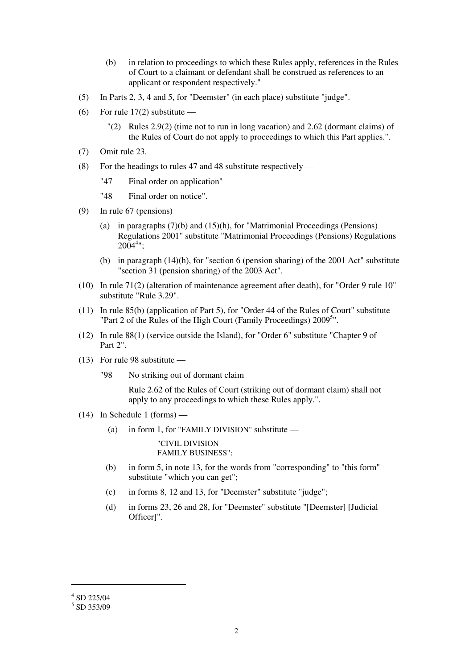- (b) in relation to proceedings to which these Rules apply, references in the Rules of Court to a claimant or defendant shall be construed as references to an applicant or respondent respectively."
- (5) In Parts 2, 3, 4 and 5, for "Deemster" (in each place) substitute "judge".
- (6) For rule  $17(2)$  substitute
	- $\lceil (2) \rceil$  Rules 2.9(2) (time not to run in long vacation) and 2.62 (dormant claims) of the Rules of Court do not apply to proceedings to which this Part applies.".
- (7) Omit rule 23.
- (8) For the headings to rules 47 and 48 substitute respectively
	- "47 Final order on application"

"48 Final order on notice".

- (9) In rule 67 (pensions)
	- (a) in paragraphs (7)(b) and (15)(h), for "Matrimonial Proceedings (Pensions) Regulations 2001" substitute "Matrimonial Proceedings (Pensions) Regulations  $2004^{4}$ ";
	- (b) in paragraph  $(14)(h)$ , for "section 6 (pension sharing) of the 2001 Act" substitute "section 31 (pension sharing) of the 2003 Act".
- (10) In rule 71(2) (alteration of maintenance agreement after death), for "Order 9 rule 10" substitute "Rule 3.29".
- (11) In rule 85(b) (application of Part 5), for "Order 44 of the Rules of Court" substitute "Part 2 of the Rules of the High Court (Family Proceedings) 2009<sup>5</sup>".
- (12) In rule 88(1) (service outside the Island), for "Order 6" substitute "Chapter 9 of Part 2".
- (13) For rule 98 substitute
	- "98 No striking out of dormant claim

 Rule 2.62 of the Rules of Court (striking out of dormant claim) shall not apply to any proceedings to which these Rules apply.".

- (14) In Schedule 1 (forms)
	- (a) in form 1, for "FAMILY DIVISION" substitute —

"CIVIL DIVISION FAMILY BUSINESS";

- (b) in form 5, in note 13, for the words from "corresponding" to "this form" substitute "which you can get";
- (c) in forms 8, 12 and 13, for "Deemster" substitute "judge";
- (d) in forms 23, 26 and 28, for "Deemster" substitute "[Deemster] [Judicial Officer]".

<u>.</u>

 $4$  SD 225/04

<sup>5</sup> SD 353/09